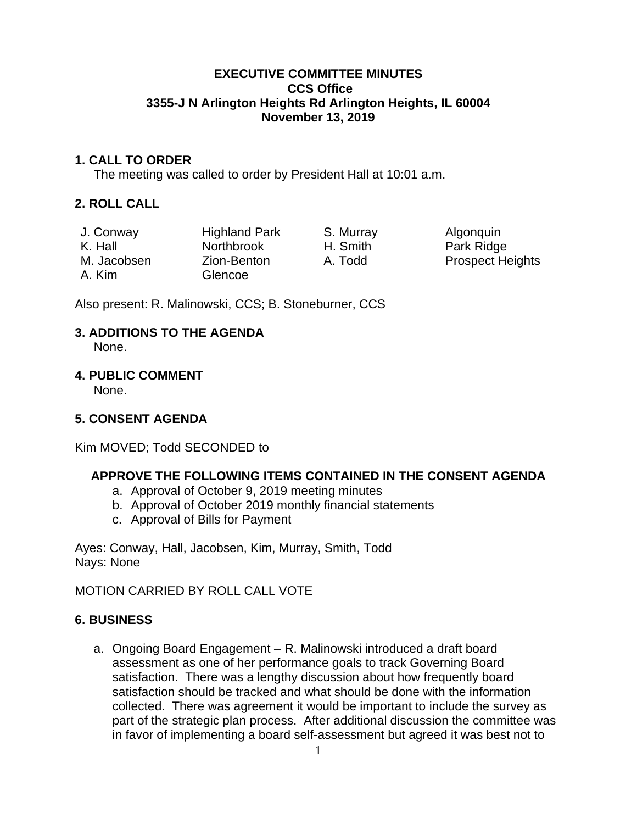### **EXECUTIVE COMMITTEE MINUTES CCS Office 3355-J N Arlington Heights Rd Arlington Heights, IL 60004 November 13, 2019**

## **1. CALL TO ORDER**

The meeting was called to order by President Hall at 10:01 a.m.

## **2. ROLL CALL**

| J. Conway   | <b>Highland Park</b> | S. Murray | Algonquin               |
|-------------|----------------------|-----------|-------------------------|
| K. Hall     | <b>Northbrook</b>    | H. Smith  | Park Ridge              |
| M. Jacobsen | Zion-Benton          | A. Todd   | <b>Prospect Heights</b> |
| A. Kim      | Glencoe              |           |                         |

Also present: R. Malinowski, CCS; B. Stoneburner, CCS

# **3. ADDITIONS TO THE AGENDA**

None.

## **4. PUBLIC COMMENT**

None.

# **5. CONSENT AGENDA**

Kim MOVED; Todd SECONDED to

# **APPROVE THE FOLLOWING ITEMS CONTAINED IN THE CONSENT AGENDA**

- a. Approval of October 9, 2019 meeting minutes
- b. Approval of October 2019 monthly financial statements
- c. Approval of Bills for Payment

Ayes: Conway, Hall, Jacobsen, Kim, Murray, Smith, Todd Nays: None

MOTION CARRIED BY ROLL CALL VOTE

# **6. BUSINESS**

a. Ongoing Board Engagement – R. Malinowski introduced a draft board assessment as one of her performance goals to track Governing Board satisfaction. There was a lengthy discussion about how frequently board satisfaction should be tracked and what should be done with the information collected. There was agreement it would be important to include the survey as part of the strategic plan process. After additional discussion the committee was in favor of implementing a board self-assessment but agreed it was best not to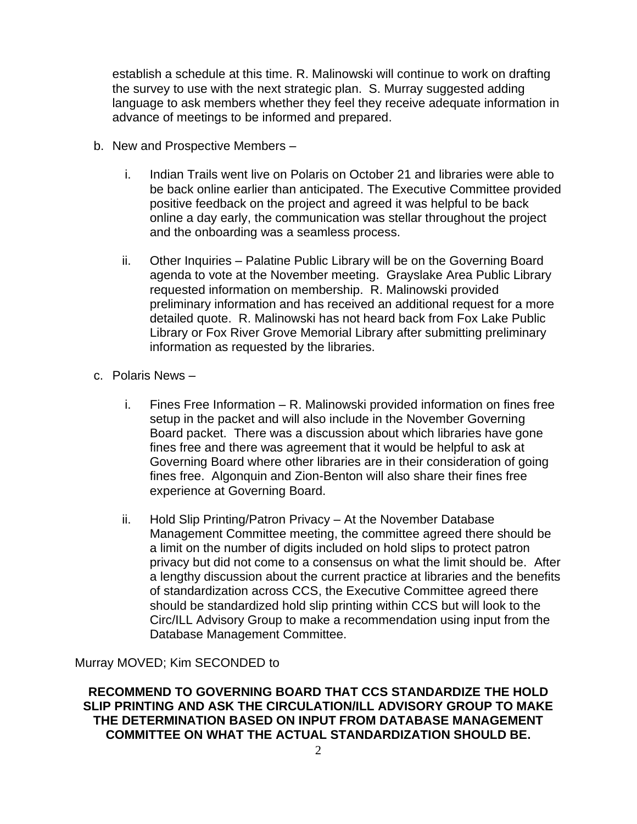establish a schedule at this time. R. Malinowski will continue to work on drafting the survey to use with the next strategic plan. S. Murray suggested adding language to ask members whether they feel they receive adequate information in advance of meetings to be informed and prepared.

- b. New and Prospective Members
	- i. Indian Trails went live on Polaris on October 21 and libraries were able to be back online earlier than anticipated. The Executive Committee provided positive feedback on the project and agreed it was helpful to be back online a day early, the communication was stellar throughout the project and the onboarding was a seamless process.
	- ii. Other Inquiries Palatine Public Library will be on the Governing Board agenda to vote at the November meeting. Grayslake Area Public Library requested information on membership. R. Malinowski provided preliminary information and has received an additional request for a more detailed quote. R. Malinowski has not heard back from Fox Lake Public Library or Fox River Grove Memorial Library after submitting preliminary information as requested by the libraries.
- c. Polaris News
	- i. Fines Free Information R. Malinowski provided information on fines free setup in the packet and will also include in the November Governing Board packet. There was a discussion about which libraries have gone fines free and there was agreement that it would be helpful to ask at Governing Board where other libraries are in their consideration of going fines free. Algonquin and Zion-Benton will also share their fines free experience at Governing Board.
	- ii. Hold Slip Printing/Patron Privacy At the November Database Management Committee meeting, the committee agreed there should be a limit on the number of digits included on hold slips to protect patron privacy but did not come to a consensus on what the limit should be. After a lengthy discussion about the current practice at libraries and the benefits of standardization across CCS, the Executive Committee agreed there should be standardized hold slip printing within CCS but will look to the Circ/ILL Advisory Group to make a recommendation using input from the Database Management Committee.

Murray MOVED; Kim SECONDED to

**RECOMMEND TO GOVERNING BOARD THAT CCS STANDARDIZE THE HOLD SLIP PRINTING AND ASK THE CIRCULATION/ILL ADVISORY GROUP TO MAKE THE DETERMINATION BASED ON INPUT FROM DATABASE MANAGEMENT COMMITTEE ON WHAT THE ACTUAL STANDARDIZATION SHOULD BE.**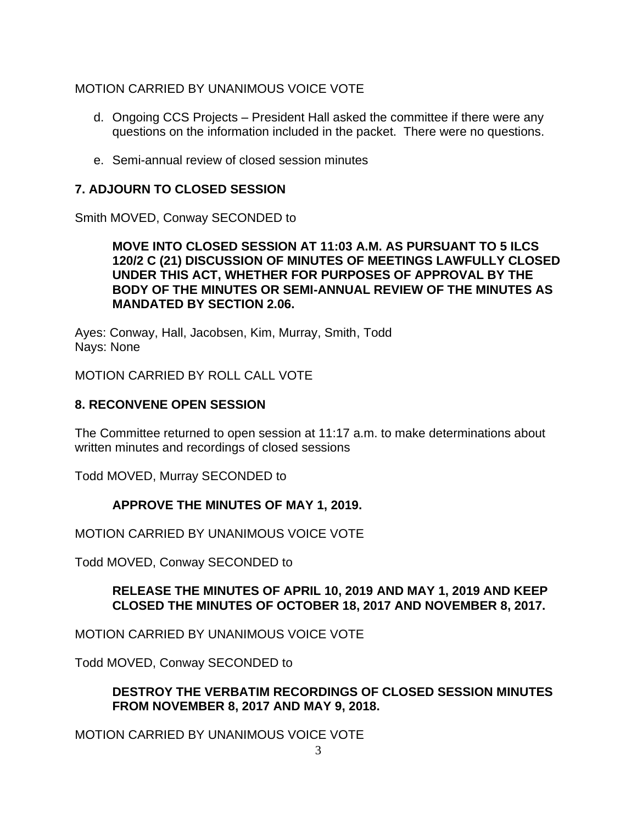## MOTION CARRIED BY UNANIMOUS VOICE VOTE

- d. Ongoing CCS Projects President Hall asked the committee if there were any questions on the information included in the packet. There were no questions.
- e. Semi-annual review of closed session minutes

## **7. ADJOURN TO CLOSED SESSION**

Smith MOVED, Conway SECONDED to

### **MOVE INTO CLOSED SESSION AT 11:03 A.M. AS PURSUANT TO 5 ILCS 120/2 C (21) DISCUSSION OF MINUTES OF MEETINGS LAWFULLY CLOSED UNDER THIS ACT, WHETHER FOR PURPOSES OF APPROVAL BY THE BODY OF THE MINUTES OR SEMI-ANNUAL REVIEW OF THE MINUTES AS MANDATED BY SECTION 2.06.**

Ayes: Conway, Hall, Jacobsen, Kim, Murray, Smith, Todd Nays: None

MOTION CARRIED BY ROLL CALL VOTE

## **8. RECONVENE OPEN SESSION**

The Committee returned to open session at 11:17 a.m. to make determinations about written minutes and recordings of closed sessions

Todd MOVED, Murray SECONDED to

### **APPROVE THE MINUTES OF MAY 1, 2019.**

MOTION CARRIED BY UNANIMOUS VOICE VOTE

Todd MOVED, Conway SECONDED to

### **RELEASE THE MINUTES OF APRIL 10, 2019 AND MAY 1, 2019 AND KEEP CLOSED THE MINUTES OF OCTOBER 18, 2017 AND NOVEMBER 8, 2017.**

MOTION CARRIED BY UNANIMOUS VOICE VOTE

Todd MOVED, Conway SECONDED to

### **DESTROY THE VERBATIM RECORDINGS OF CLOSED SESSION MINUTES FROM NOVEMBER 8, 2017 AND MAY 9, 2018.**

MOTION CARRIED BY UNANIMOUS VOICE VOTE